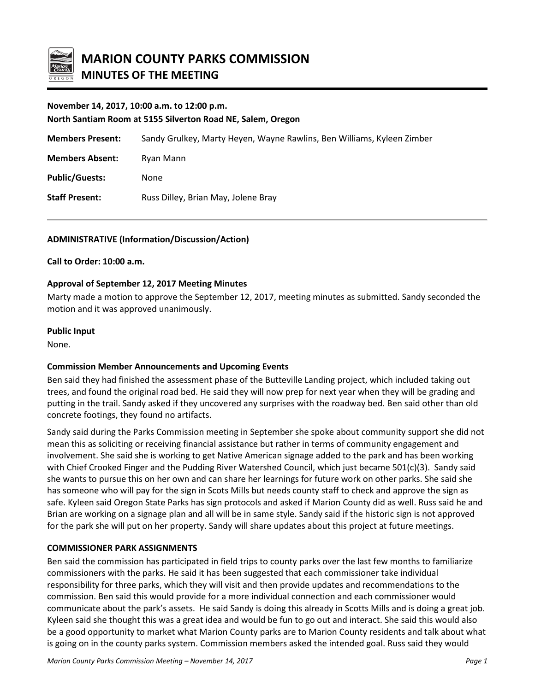

### **November 14, 2017, 10:00 a.m. to 12:00 p.m.**

**North Santiam Room at 5155 Silverton Road NE, Salem, Oregon**

**Members Present:** Sandy Grulkey, Marty Heyen, Wayne Rawlins, Ben Williams, Kyleen Zimber

**Members Absent:** Ryan Mann

**Public/Guests:** None

**Staff Present:** Russ Dilley, Brian May, Jolene Bray

## **ADMINISTRATIVE (Information/Discussion/Action)**

### **Call to Order: 10:00 a.m.**

### **Approval of September 12, 2017 Meeting Minutes**

Marty made a motion to approve the September 12, 2017, meeting minutes as submitted. Sandy seconded the motion and it was approved unanimously.

### **Public Input**

None.

### **Commission Member Announcements and Upcoming Events**

Ben said they had finished the assessment phase of the Butteville Landing project, which included taking out trees, and found the original road bed. He said they will now prep for next year when they will be grading and putting in the trail. Sandy asked if they uncovered any surprises with the roadway bed. Ben said other than old concrete footings, they found no artifacts.

Sandy said during the Parks Commission meeting in September she spoke about community support she did not mean this as soliciting or receiving financial assistance but rather in terms of community engagement and involvement. She said she is working to get Native American signage added to the park and has been working with Chief Crooked Finger and the Pudding River Watershed Council, which just became 501(c)(3). Sandy said she wants to pursue this on her own and can share her learnings for future work on other parks. She said she has someone who will pay for the sign in Scots Mills but needs county staff to check and approve the sign as safe. Kyleen said Oregon State Parks has sign protocols and asked if Marion County did as well. Russ said he and Brian are working on a signage plan and all will be in same style. Sandy said if the historic sign is not approved for the park she will put on her property. Sandy will share updates about this project at future meetings.

### **COMMISSIONER PARK ASSIGNMENTS**

Ben said the commission has participated in field trips to county parks over the last few months to familiarize commissioners with the parks. He said it has been suggested that each commissioner take individual responsibility for three parks, which they will visit and then provide updates and recommendations to the commission. Ben said this would provide for a more individual connection and each commissioner would communicate about the park's assets. He said Sandy is doing this already in Scotts Mills and is doing a great job. Kyleen said she thought this was a great idea and would be fun to go out and interact. She said this would also be a good opportunity to market what Marion County parks are to Marion County residents and talk about what is going on in the county parks system. Commission members asked the intended goal. Russ said they would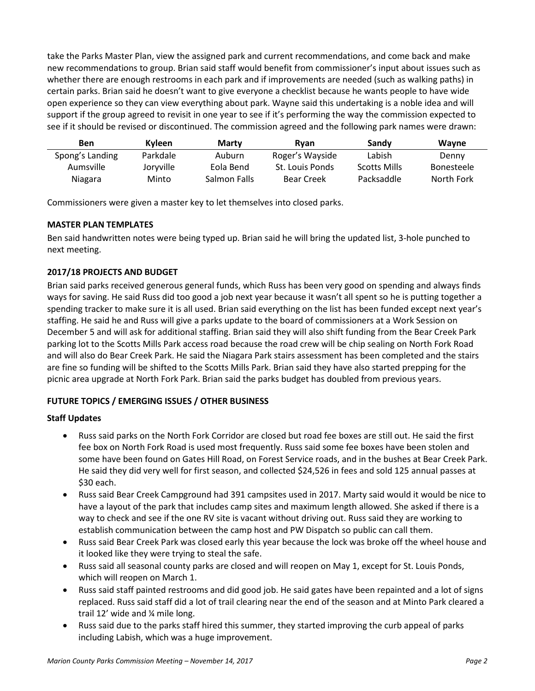take the Parks Master Plan, view the assigned park and current recommendations, and come back and make new recommendations to group. Brian said staff would benefit from commissioner's input about issues such as whether there are enough restrooms in each park and if improvements are needed (such as walking paths) in certain parks. Brian said he doesn't want to give everyone a checklist because he wants people to have wide open experience so they can view everything about park. Wayne said this undertaking is a noble idea and will support if the group agreed to revisit in one year to see if it's performing the way the commission expected to see if it should be revised or discontinued. The commission agreed and the following park names were drawn:

| Ben             | Kvleen    | <b>Marty</b> | Rvan              | Sandy               | <b>Wavne</b>      |
|-----------------|-----------|--------------|-------------------|---------------------|-------------------|
| Spong's Landing | Parkdale  | Auburn       | Roger's Wayside   | Labish              | Denny             |
| Aumsville       | Jorvville | Eola Bend    | St. Louis Ponds   | <b>Scotts Mills</b> | <b>Bonesteele</b> |
| Niagara         | Minto     | Salmon Falls | <b>Bear Creek</b> | Packsaddle          | North Fork        |

Commissioners were given a master key to let themselves into closed parks.

## **MASTER PLAN TEMPLATES**

Ben said handwritten notes were being typed up. Brian said he will bring the updated list, 3-hole punched to next meeting.

# **2017/18 PROJECTS AND BUDGET**

Brian said parks received generous general funds, which Russ has been very good on spending and always finds ways for saving. He said Russ did too good a job next year because it wasn't all spent so he is putting together a spending tracker to make sure it is all used. Brian said everything on the list has been funded except next year's staffing. He said he and Russ will give a parks update to the board of commissioners at a Work Session on December 5 and will ask for additional staffing. Brian said they will also shift funding from the Bear Creek Park parking lot to the Scotts Mills Park access road because the road crew will be chip sealing on North Fork Road and will also do Bear Creek Park. He said the Niagara Park stairs assessment has been completed and the stairs are fine so funding will be shifted to the Scotts Mills Park. Brian said they have also started prepping for the picnic area upgrade at North Fork Park. Brian said the parks budget has doubled from previous years.

# **FUTURE TOPICS / EMERGING ISSUES / OTHER BUSINESS**

### **Staff Updates**

- Russ said parks on the North Fork Corridor are closed but road fee boxes are still out. He said the first fee box on North Fork Road is used most frequently. Russ said some fee boxes have been stolen and some have been found on Gates Hill Road, on Forest Service roads, and in the bushes at Bear Creek Park. He said they did very well for first season, and collected \$24,526 in fees and sold 125 annual passes at \$30 each.
- Russ said Bear Creek Campground had 391 campsites used in 2017. Marty said would it would be nice to have a layout of the park that includes camp sites and maximum length allowed. She asked if there is a way to check and see if the one RV site is vacant without driving out. Russ said they are working to establish communication between the camp host and PW Dispatch so public can call them.
- Russ said Bear Creek Park was closed early this year because the lock was broke off the wheel house and it looked like they were trying to steal the safe.
- Russ said all seasonal county parks are closed and will reopen on May 1, except for St. Louis Ponds, which will reopen on March 1.
- Russ said staff painted restrooms and did good job. He said gates have been repainted and a lot of signs replaced. Russ said staff did a lot of trail clearing near the end of the season and at Minto Park cleared a trail 12' wide and ¼ mile long.
- Russ said due to the parks staff hired this summer, they started improving the curb appeal of parks including Labish, which was a huge improvement.